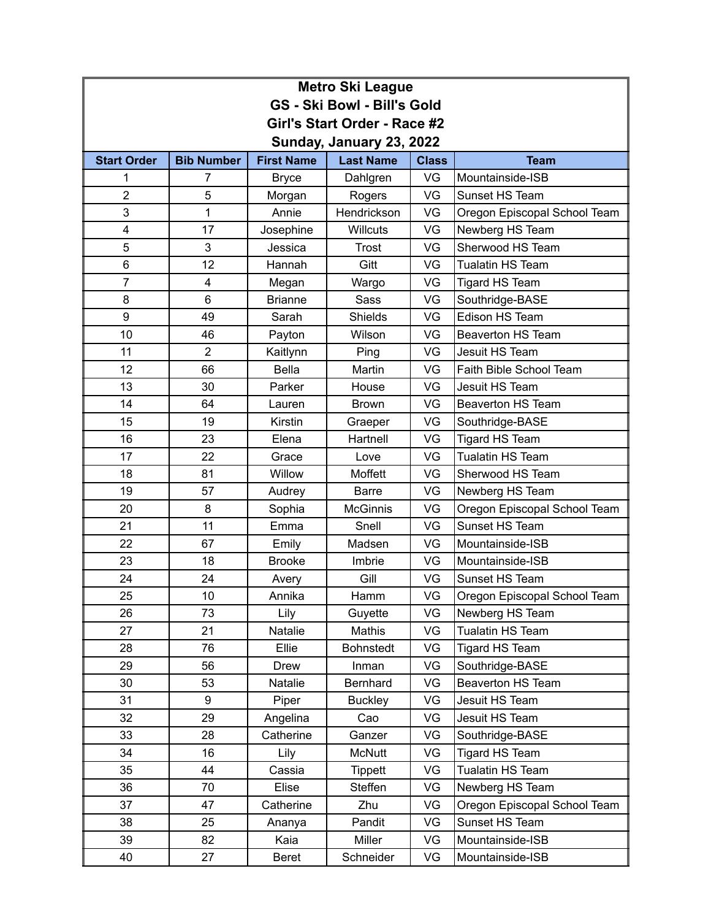| <b>Metro Ski League</b>            |                   |                   |                  |              |                              |  |  |
|------------------------------------|-------------------|-------------------|------------------|--------------|------------------------------|--|--|
| <b>GS - Ski Bowl - Bill's Gold</b> |                   |                   |                  |              |                              |  |  |
| Girl's Start Order - Race #2       |                   |                   |                  |              |                              |  |  |
| Sunday, January 23, 2022           |                   |                   |                  |              |                              |  |  |
| <b>Start Order</b>                 | <b>Bib Number</b> | <b>First Name</b> | <b>Last Name</b> | <b>Class</b> | <b>Team</b>                  |  |  |
| 1                                  | 7                 | <b>Bryce</b>      | Dahlgren         | VG           | Mountainside-ISB             |  |  |
| $\overline{2}$                     | 5                 | Morgan            | Rogers           | VG           | Sunset HS Team               |  |  |
| 3                                  | 1                 | Annie             | Hendrickson      | VG           | Oregon Episcopal School Team |  |  |
| 4                                  | 17                | Josephine         | <b>Willcuts</b>  | VG           | Newberg HS Team              |  |  |
| 5                                  | 3                 | Jessica           | <b>Trost</b>     | VG           | Sherwood HS Team             |  |  |
| 6                                  | 12                | Hannah            | Gitt             | VG           | <b>Tualatin HS Team</b>      |  |  |
| $\overline{7}$                     | 4                 | Megan             | Wargo            | VG           | Tigard HS Team               |  |  |
| 8                                  | 6                 | <b>Brianne</b>    | <b>Sass</b>      | VG           | Southridge-BASE              |  |  |
| 9                                  | 49                | Sarah             | <b>Shields</b>   | VG           | Edison HS Team               |  |  |
| 10                                 | 46                | Payton            | Wilson           | VG           | <b>Beaverton HS Team</b>     |  |  |
| 11                                 | $\overline{2}$    | Kaitlynn          | Ping             | VG           | Jesuit HS Team               |  |  |
| 12                                 | 66                | <b>Bella</b>      | Martin           | VG           | Faith Bible School Team      |  |  |
| 13                                 | 30                | Parker            | House            | VG           | Jesuit HS Team               |  |  |
| 14                                 | 64                | Lauren            | <b>Brown</b>     | VG           | <b>Beaverton HS Team</b>     |  |  |
| 15                                 | 19                | Kirstin           | Graeper          | VG           | Southridge-BASE              |  |  |
| 16                                 | 23                | Elena             | Hartnell         | VG           | <b>Tigard HS Team</b>        |  |  |
| 17                                 | 22                | Grace             | Love             | VG           | <b>Tualatin HS Team</b>      |  |  |
| 18                                 | 81                | Willow            | Moffett          | VG           | Sherwood HS Team             |  |  |
| 19                                 | 57                | Audrey            | <b>Barre</b>     | VG           | Newberg HS Team              |  |  |
| 20                                 | 8                 | Sophia            | <b>McGinnis</b>  | VG           | Oregon Episcopal School Team |  |  |
| 21                                 | 11                | Emma              | Snell            | VG           | Sunset HS Team               |  |  |
| 22                                 | 67                | Emily             | Madsen           | VG           | Mountainside-ISB             |  |  |
| 23                                 | 18                | <b>Brooke</b>     | Imbrie           | VG           | Mountainside-ISB             |  |  |
| 24                                 | 24                | Avery             | Gill             | VG           | Sunset HS Team               |  |  |
| 25                                 | 10                | Annika            | Hamm             | VG           | Oregon Episcopal School Team |  |  |
| 26                                 | 73                | Lily              | Guyette          | VG           | Newberg HS Team              |  |  |
| 27                                 | 21                | Natalie           | Mathis           | VG           | Tualatin HS Team             |  |  |
| 28                                 | 76                | Ellie             | <b>Bohnstedt</b> | VG           | Tigard HS Team               |  |  |
| 29                                 | 56                | <b>Drew</b>       | Inman            | VG           | Southridge-BASE              |  |  |
| 30                                 | 53                | Natalie           | Bernhard         | VG           | Beaverton HS Team            |  |  |
| 31                                 | 9                 | Piper             | <b>Buckley</b>   | VG           | Jesuit HS Team               |  |  |
| 32                                 | 29                | Angelina          | Cao              | VG           | Jesuit HS Team               |  |  |
| 33                                 | 28                | Catherine         | Ganzer           | VG           | Southridge-BASE              |  |  |
| 34                                 | 16                | Lily              | <b>McNutt</b>    | VG           | Tigard HS Team               |  |  |
| 35                                 | 44                | Cassia            | <b>Tippett</b>   | VG           | Tualatin HS Team             |  |  |
| 36                                 | 70                | Elise             | Steffen          | VG           | Newberg HS Team              |  |  |
| 37                                 | 47                | Catherine         | Zhu              | VG           | Oregon Episcopal School Team |  |  |
| 38                                 | 25                | Ananya            | Pandit           | VG           | Sunset HS Team               |  |  |
| 39                                 | 82                | Kaia              | Miller           | VG           | Mountainside-ISB             |  |  |
| 40                                 | 27                | Beret             | Schneider        | VG           | Mountainside-ISB             |  |  |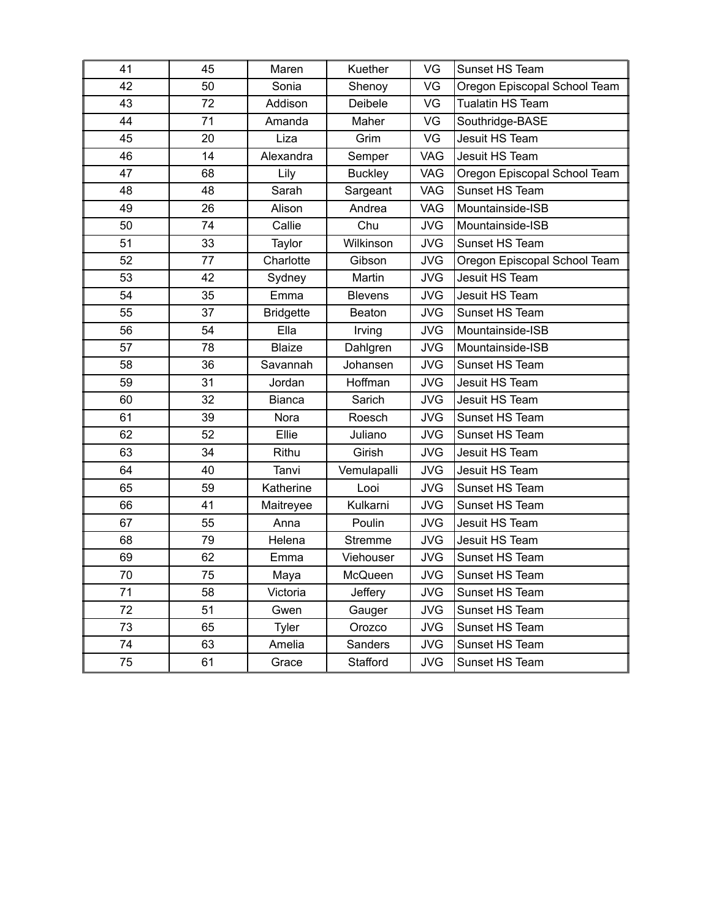| 41 | 45 | Maren            | Kuether        | VG         | Sunset HS Team               |
|----|----|------------------|----------------|------------|------------------------------|
| 42 | 50 | Sonia            | Shenoy         | VG         | Oregon Episcopal School Team |
| 43 | 72 | Addison          | Deibele        | VG         | <b>Tualatin HS Team</b>      |
| 44 | 71 | Amanda           | Maher          | VG         | Southridge-BASE              |
| 45 | 20 | Liza             | Grim           | VG         | Jesuit HS Team               |
| 46 | 14 | Alexandra        | Semper         | <b>VAG</b> | Jesuit HS Team               |
| 47 | 68 | Lily             | <b>Buckley</b> | <b>VAG</b> | Oregon Episcopal School Team |
| 48 | 48 | Sarah            | Sargeant       | <b>VAG</b> | Sunset HS Team               |
| 49 | 26 | Alison           | Andrea         | <b>VAG</b> | Mountainside-ISB             |
| 50 | 74 | Callie           | Chu            | <b>JVG</b> | Mountainside-ISB             |
| 51 | 33 | Taylor           | Wilkinson      | <b>JVG</b> | Sunset HS Team               |
| 52 | 77 | Charlotte        | Gibson         | <b>JVG</b> | Oregon Episcopal School Team |
| 53 | 42 | Sydney           | Martin         | <b>JVG</b> | Jesuit HS Team               |
| 54 | 35 | Emma             | <b>Blevens</b> | <b>JVG</b> | Jesuit HS Team               |
| 55 | 37 | <b>Bridgette</b> | Beaton         | <b>JVG</b> | Sunset HS Team               |
| 56 | 54 | Ella             | Irving         | <b>JVG</b> | Mountainside-ISB             |
| 57 | 78 | <b>Blaize</b>    | Dahlgren       | <b>JVG</b> | Mountainside-ISB             |
| 58 | 36 | Savannah         | Johansen       | <b>JVG</b> | Sunset HS Team               |
| 59 | 31 | Jordan           | Hoffman        | <b>JVG</b> | Jesuit HS Team               |
| 60 | 32 | <b>Bianca</b>    | Sarich         | <b>JVG</b> | Jesuit HS Team               |
| 61 | 39 | Nora             | Roesch         | <b>JVG</b> | Sunset HS Team               |
| 62 | 52 | Ellie            | Juliano        | <b>JVG</b> | Sunset HS Team               |
| 63 | 34 | Rithu            | Girish         | <b>JVG</b> | Jesuit HS Team               |
| 64 | 40 | Tanvi            | Vemulapalli    | <b>JVG</b> | Jesuit HS Team               |
| 65 | 59 | Katherine        | Looi           | <b>JVG</b> | Sunset HS Team               |
| 66 | 41 | Maitreyee        | Kulkarni       | <b>JVG</b> | Sunset HS Team               |
| 67 | 55 | Anna             | Poulin         | <b>JVG</b> | Jesuit HS Team               |
| 68 | 79 | Helena           | Stremme        | <b>JVG</b> | Jesuit HS Team               |
| 69 | 62 | Emma             | Viehouser      | <b>JVG</b> | Sunset HS Team               |
| 70 | 75 | <u>Maya</u>      | McQueen        | JVG        | Sunset HS Team               |
| 71 | 58 | Victoria         | Jeffery        | <b>JVG</b> | Sunset HS Team               |
| 72 | 51 | Gwen             | Gauger         | <b>JVG</b> | Sunset HS Team               |
| 73 | 65 | Tyler            | Orozco         | <b>JVG</b> | Sunset HS Team               |
| 74 | 63 | Amelia           | Sanders        | <b>JVG</b> | Sunset HS Team               |
| 75 | 61 | Grace            | Stafford       | <b>JVG</b> | Sunset HS Team               |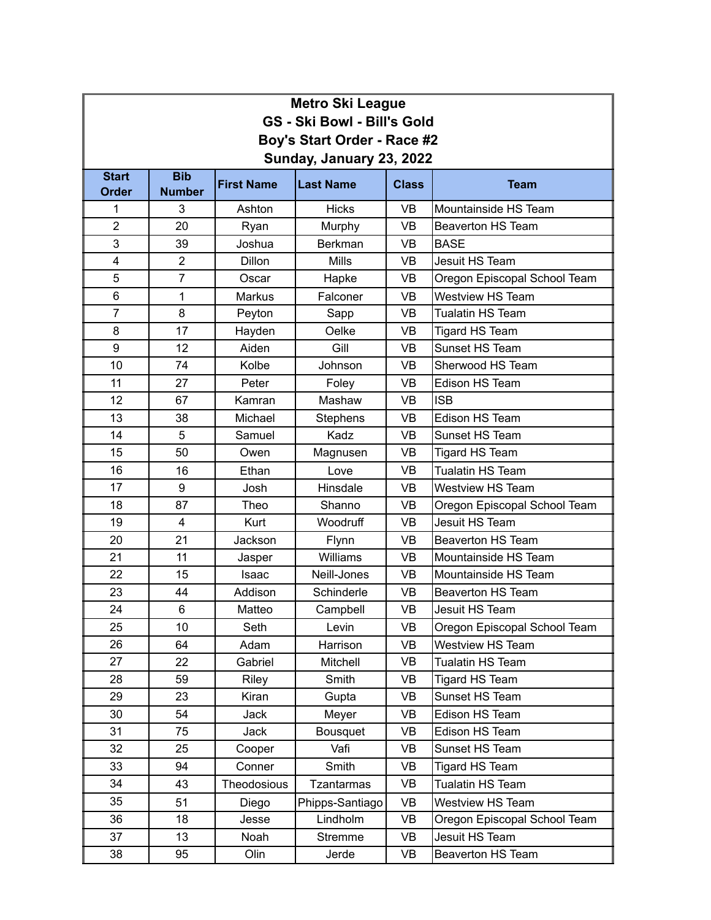| <b>Metro Ski League</b>            |                             |                   |                   |              |                              |  |  |  |
|------------------------------------|-----------------------------|-------------------|-------------------|--------------|------------------------------|--|--|--|
| <b>GS - Ski Bowl - Bill's Gold</b> |                             |                   |                   |              |                              |  |  |  |
| Boy's Start Order - Race #2        |                             |                   |                   |              |                              |  |  |  |
| Sunday, January 23, 2022           |                             |                   |                   |              |                              |  |  |  |
| <b>Start</b><br><b>Order</b>       | <b>Bib</b><br><b>Number</b> | <b>First Name</b> | <b>Last Name</b>  | <b>Class</b> | <b>Team</b>                  |  |  |  |
| 1                                  | 3                           | Ashton            | <b>Hicks</b>      | <b>VB</b>    | Mountainside HS Team         |  |  |  |
| $\overline{2}$                     | 20                          | Ryan              | Murphy            | <b>VB</b>    | <b>Beaverton HS Team</b>     |  |  |  |
| 3                                  | 39                          | Joshua            | <b>Berkman</b>    | <b>VB</b>    | <b>BASE</b>                  |  |  |  |
| 4                                  | $\overline{2}$              | <b>Dillon</b>     | <b>Mills</b>      | <b>VB</b>    | Jesuit HS Team               |  |  |  |
| 5                                  | $\overline{7}$              | Oscar             | Hapke             | <b>VB</b>    | Oregon Episcopal School Team |  |  |  |
| $6\phantom{1}$                     | $\mathbf{1}$                | <b>Markus</b>     | Falconer          | <b>VB</b>    | <b>Westview HS Team</b>      |  |  |  |
| $\overline{7}$                     | 8                           | Peyton            | Sapp              | <b>VB</b>    | <b>Tualatin HS Team</b>      |  |  |  |
| 8                                  | 17                          | Hayden            | Oelke             | <b>VB</b>    | <b>Tigard HS Team</b>        |  |  |  |
| 9                                  | 12                          | Aiden             | Gill              | <b>VB</b>    | Sunset HS Team               |  |  |  |
| 10                                 | 74                          | Kolbe             | Johnson           | <b>VB</b>    | Sherwood HS Team             |  |  |  |
| 11                                 | 27                          | Peter             | Foley             | <b>VB</b>    | Edison HS Team               |  |  |  |
| 12                                 | 67                          | Kamran            | Mashaw            | <b>VB</b>    | <b>ISB</b>                   |  |  |  |
| 13                                 | 38                          | Michael           | <b>Stephens</b>   | <b>VB</b>    | Edison HS Team               |  |  |  |
| 14                                 | 5                           | Samuel            | Kadz              | <b>VB</b>    | Sunset HS Team               |  |  |  |
| 15                                 | 50                          | Owen              | Magnusen          | <b>VB</b>    | Tigard HS Team               |  |  |  |
| 16                                 | 16                          | Ethan             | Love              | <b>VB</b>    | <b>Tualatin HS Team</b>      |  |  |  |
| 17                                 | 9                           | Josh              | Hinsdale          | <b>VB</b>    | <b>Westview HS Team</b>      |  |  |  |
| 18                                 | 87                          | Theo              | Shanno            | <b>VB</b>    | Oregon Episcopal School Team |  |  |  |
| 19                                 | $\overline{4}$              | Kurt              | Woodruff          | <b>VB</b>    | Jesuit HS Team               |  |  |  |
| 20                                 | 21                          | Jackson           | Flynn             | <b>VB</b>    | <b>Beaverton HS Team</b>     |  |  |  |
| 21                                 | 11                          | Jasper            | Williams          | <b>VB</b>    | Mountainside HS Team         |  |  |  |
| 22                                 | 15                          | <b>Isaac</b>      | Neill-Jones       | <b>VB</b>    | Mountainside HS Team         |  |  |  |
| 23                                 | 44                          | Addison           | Schinderle        | <b>VB</b>    | <b>Beaverton HS Team</b>     |  |  |  |
| 24                                 | 6                           | Matteo            | Campbell          | VB           | Jesuit HS Team               |  |  |  |
| 25                                 | 10                          | Seth              | Levin             | <b>VB</b>    | Oregon Episcopal School Team |  |  |  |
| 26                                 | 64                          | Adam              | Harrison          | VB           | Westview HS Team             |  |  |  |
| 27                                 | 22                          | Gabriel           | Mitchell          | VB           | Tualatin HS Team             |  |  |  |
| 28                                 | 59                          | Riley             | Smith             | VB           | Tigard HS Team               |  |  |  |
| 29                                 | 23                          | Kiran             | Gupta             | VB           | Sunset HS Team               |  |  |  |
| 30                                 | 54                          | Jack              | Meyer             | VB           | Edison HS Team               |  |  |  |
| 31                                 | 75                          | Jack              | Bousquet          | VB           | Edison HS Team               |  |  |  |
| 32                                 | 25                          | Cooper            | Vafi              | VB           | Sunset HS Team               |  |  |  |
| 33                                 | 94                          | Conner            | Smith             | <b>VB</b>    | Tigard HS Team               |  |  |  |
| 34                                 | 43                          | Theodosious       | <b>Tzantarmas</b> | VB           | Tualatin HS Team             |  |  |  |
| 35                                 | 51                          | Diego             | Phipps-Santiago   | VB           | Westview HS Team             |  |  |  |
| 36                                 | 18                          | Jesse             | Lindholm          | VB           | Oregon Episcopal School Team |  |  |  |
| 37                                 | 13                          | Noah              | Stremme           | VB           | Jesuit HS Team               |  |  |  |
| 38                                 | 95                          | Olin              | Jerde             | VB           | Beaverton HS Team            |  |  |  |